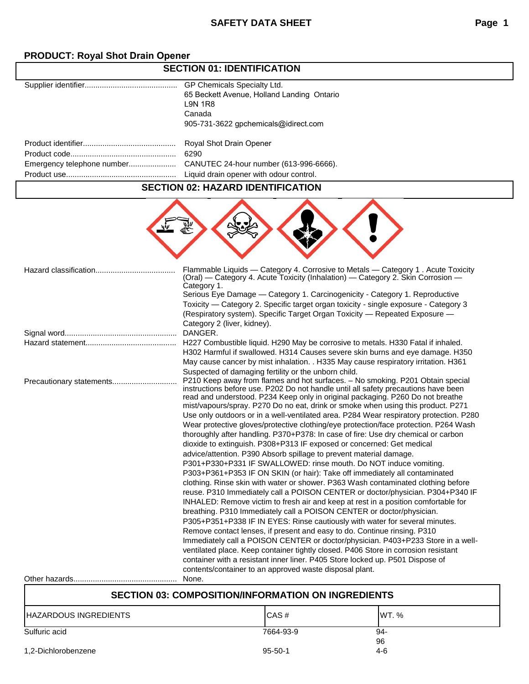## **PRODUCT: Royal Shot Drain Opener**

## **SECTION 01: IDENTIFICATION**

| GP Chemicals Specialty Ltd.                |
|--------------------------------------------|
| 65 Beckett Avenue, Holland Landing Ontario |
| <b>L9N 1R8</b>                             |
| Canada                                     |
| 905-731-3622 gpchemicals@idirect.com       |
|                                            |
| Royal Shot Drain Opener                    |
| 6290                                       |
| CANUTEC 24-hour number (613-996-6666).     |
| Liquid drain opener with odour control.    |
|                                            |

### **SECTION 02: HAZARD IDENTIFICATION**

| Hazard classification    | Flammable Liquids - Category 4. Corrosive to Metals - Category 1. Acute Toxicity<br>(Oral) — Category 4. Acute Toxicity (Inhalation) — Category 2. Skin Corrosion —<br>Category 1.<br>Serious Eye Damage - Category 1. Carcinogenicity - Category 1. Reproductive<br>Toxicity - Category 2. Specific target organ toxicity - single exposure - Category 3<br>(Respiratory system). Specific Target Organ Toxicity - Repeated Exposure -<br>Category 2 (liver, kidney).                                                                                                                                                                                                                                                                                                                                                                                                                                                                                                                                                                                                                                                                                                                                                                                                                                                                                                                                                                                                                                                                                                                                                                                                                                                                     |
|--------------------------|--------------------------------------------------------------------------------------------------------------------------------------------------------------------------------------------------------------------------------------------------------------------------------------------------------------------------------------------------------------------------------------------------------------------------------------------------------------------------------------------------------------------------------------------------------------------------------------------------------------------------------------------------------------------------------------------------------------------------------------------------------------------------------------------------------------------------------------------------------------------------------------------------------------------------------------------------------------------------------------------------------------------------------------------------------------------------------------------------------------------------------------------------------------------------------------------------------------------------------------------------------------------------------------------------------------------------------------------------------------------------------------------------------------------------------------------------------------------------------------------------------------------------------------------------------------------------------------------------------------------------------------------------------------------------------------------------------------------------------------------|
|                          | DANGER.                                                                                                                                                                                                                                                                                                                                                                                                                                                                                                                                                                                                                                                                                                                                                                                                                                                                                                                                                                                                                                                                                                                                                                                                                                                                                                                                                                                                                                                                                                                                                                                                                                                                                                                                    |
|                          | H227 Combustible liquid. H290 May be corrosive to metals. H330 Fatal if inhaled.<br>H302 Harmful if swallowed. H314 Causes severe skin burns and eye damage. H350<br>May cause cancer by mist inhalation. . H335 May cause respiratory irritation. H361<br>Suspected of damaging fertility or the unborn child.                                                                                                                                                                                                                                                                                                                                                                                                                                                                                                                                                                                                                                                                                                                                                                                                                                                                                                                                                                                                                                                                                                                                                                                                                                                                                                                                                                                                                            |
| Precautionary statements | P210 Keep away from flames and hot surfaces. - No smoking. P201 Obtain special<br>instructions before use. P202 Do not handle until all safety precautions have been<br>read and understood. P234 Keep only in original packaging. P260 Do not breathe<br>mist/vapours/spray. P270 Do no eat, drink or smoke when using this product. P271<br>Use only outdoors or in a well-ventilated area. P284 Wear respiratory protection. P280<br>Wear protective gloves/protective clothing/eye protection/face protection. P264 Wash<br>thoroughly after handling. P370+P378: In case of fire: Use dry chemical or carbon<br>dioxide to extinguish. P308+P313 IF exposed or concerned: Get medical<br>advice/attention. P390 Absorb spillage to prevent material damage.<br>P301+P330+P331 IF SWALLOWED: rinse mouth. Do NOT induce vomiting.<br>P303+P361+P353 IF ON SKIN (or hair): Take off immediately all contaminated<br>clothing. Rinse skin with water or shower. P363 Wash contaminated clothing before<br>reuse. P310 Immediately call a POISON CENTER or doctor/physician. P304+P340 IF<br>INHALED: Remove victim to fresh air and keep at rest in a position comfortable for<br>breathing. P310 Immediately call a POISON CENTER or doctor/physician.<br>P305+P351+P338 IF IN EYES: Rinse cautiously with water for several minutes.<br>Remove contact lenses, if present and easy to do. Continue rinsing. P310<br>Immediately call a POISON CENTER or doctor/physician. P403+P233 Store in a well-<br>ventilated place. Keep container tightly closed. P406 Store in corrosion resistant<br>container with a resistant inner liner. P405 Store locked up. P501 Dispose of<br>contents/container to an approved waste disposal plant. |
|                          | None.                                                                                                                                                                                                                                                                                                                                                                                                                                                                                                                                                                                                                                                                                                                                                                                                                                                                                                                                                                                                                                                                                                                                                                                                                                                                                                                                                                                                                                                                                                                                                                                                                                                                                                                                      |
|                          |                                                                                                                                                                                                                                                                                                                                                                                                                                                                                                                                                                                                                                                                                                                                                                                                                                                                                                                                                                                                                                                                                                                                                                                                                                                                                                                                                                                                                                                                                                                                                                                                                                                                                                                                            |

# **SECTION 03: COMPOSITION/INFORMATION ON INGREDIENTS** HAZARDOUS INGREDIENTS CAS # CAS # WT. % Sulfuric acid 94-96<br>4-6 1,2-Dichlorobenzene 95-50-1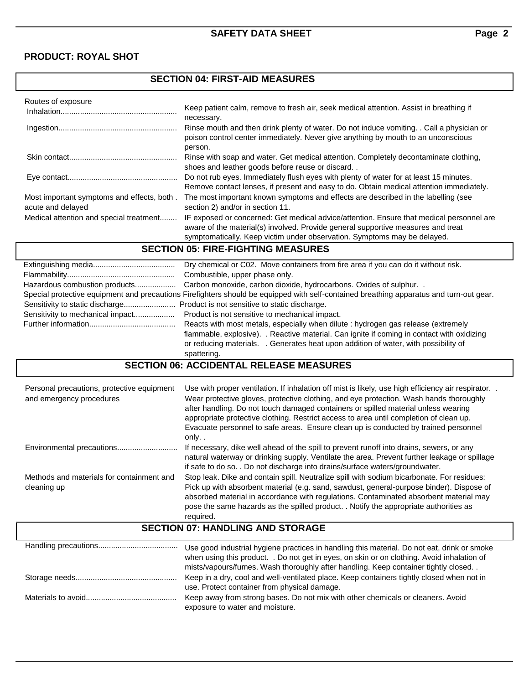## **PRODUCT: ROYAL SHOT**

## **SECTION 04: FIRST-AID MEASURES**

| Routes of exposure                                              |                                                                                                                                                                                                                                                          |
|-----------------------------------------------------------------|----------------------------------------------------------------------------------------------------------------------------------------------------------------------------------------------------------------------------------------------------------|
| Inhalation                                                      | Keep patient calm, remove to fresh air, seek medical attention. Assist in breathing if<br>necessary.                                                                                                                                                     |
|                                                                 | Rinse mouth and then drink plenty of water. Do not induce vomiting. . Call a physician or<br>poison control center immediately. Never give anything by mouth to an unconscious<br>person.                                                                |
|                                                                 | Rinse with soap and water. Get medical attention. Completely decontaminate clothing.<br>shoes and leather goods before reuse or discard                                                                                                                  |
|                                                                 | Do not rub eyes. Immediately flush eyes with plenty of water for at least 15 minutes.<br>Remove contact lenses, if present and easy to do. Obtain medical attention immediately.                                                                         |
| Most important symptoms and effects, both.<br>acute and delayed | The most important known symptoms and effects are described in the labelling (see<br>section 2) and/or in section 11.                                                                                                                                    |
| Medical attention and special treatment                         | IF exposed or concerned: Get medical advice/attention. Ensure that medical personnel are<br>aware of the material(s) involved. Provide general supportive measures and treat<br>symptomatically. Keep victim under observation. Symptoms may be delayed. |

## **SECTION 05: FIRE-FIGHTING MEASURES**

| Dry chemical or C02. Move containers from fire area if you can do it without risk.                                                      |
|-----------------------------------------------------------------------------------------------------------------------------------------|
| Combustible, upper phase only.                                                                                                          |
|                                                                                                                                         |
| Special protective equipment and precautions Firefighters should be equipped with self-contained breathing apparatus and turn-out gear. |
|                                                                                                                                         |
|                                                                                                                                         |
| Reacts with most metals, especially when dilute : hydrogen gas release (extremely                                                       |
| flammable, explosive). . Reactive material. Can ignite if coming in contact with oxidizing                                              |
| or reducing materials. . Generates heat upon addition of water, with possibility of                                                     |
| spattering.                                                                                                                             |

### **SECTION 06: ACCIDENTAL RELEASE MEASURES**

| Personal precautions, protective equipment<br>and emergency procedures | Use with proper ventilation. If inhalation off mist is likely, use high efficiency air respirator. .<br>Wear protective gloves, protective clothing, and eye protection. Wash hands thoroughly<br>after handling. Do not touch damaged containers or spilled material unless wearing<br>appropriate protective clothing. Restrict access to area until completion of clean up.<br>Evacuate personnel to safe areas. Ensure clean up is conducted by trained personnel<br>only |
|------------------------------------------------------------------------|-------------------------------------------------------------------------------------------------------------------------------------------------------------------------------------------------------------------------------------------------------------------------------------------------------------------------------------------------------------------------------------------------------------------------------------------------------------------------------|
| Environmental precautions                                              | If necessary, dike well ahead of the spill to prevent runoff into drains, sewers, or any<br>natural waterway or drinking supply. Ventilate the area. Prevent further leakage or spillage<br>if safe to do so. . Do not discharge into drains/surface waters/groundwater.                                                                                                                                                                                                      |
| Methods and materials for containment and<br>cleaning up               | Stop leak. Dike and contain spill. Neutralize spill with sodium bicarbonate. For residues:<br>Pick up with absorbent material (e.g. sand, sawdust, general-purpose binder). Dispose of<br>absorbed material in accordance with regulations. Contaminated absorbent material may<br>pose the same hazards as the spilled product. . Notify the appropriate authorities as<br>required.                                                                                         |

## **SECTION 07: HANDLING AND STORAGE**

| Use good industrial hygiene practices in handling this material. Do not eat, drink or smoke<br>when using this product. . Do not get in eyes, on skin or on clothing. Avoid inhalation of<br>mists/vapours/fumes. Wash thoroughly after handling. Keep container tightly closed |
|---------------------------------------------------------------------------------------------------------------------------------------------------------------------------------------------------------------------------------------------------------------------------------|
| Keep in a dry, cool and well-ventilated place. Keep containers tightly closed when not in                                                                                                                                                                                       |
| use. Protect container from physical damage.                                                                                                                                                                                                                                    |
| Keep away from strong bases. Do not mix with other chemicals or cleaners. Avoid                                                                                                                                                                                                 |
| exposure to water and moisture.                                                                                                                                                                                                                                                 |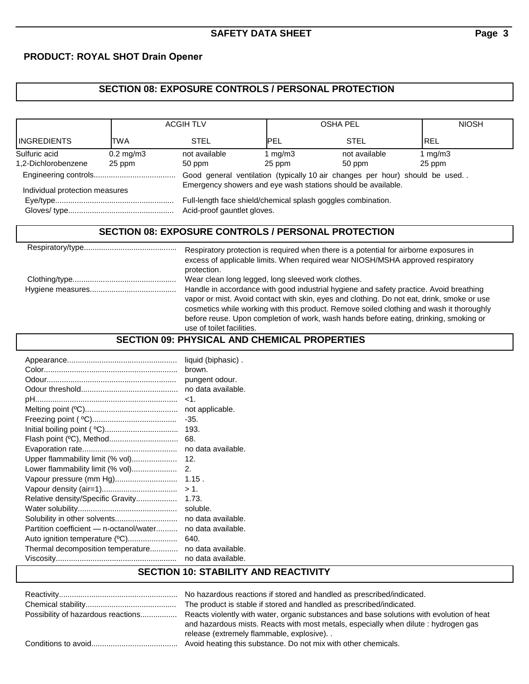### **PRODUCT: ROYAL SHOT Drain Opener**

## **SECTION 08: EXPOSURE CONTROLS / PERSONAL PROTECTION**

|                                | <b>ACGIH TLV</b>     |                                                                                             | <b>OSHA PEL</b> |                                                                             | <b>NIOSH</b> |
|--------------------------------|----------------------|---------------------------------------------------------------------------------------------|-----------------|-----------------------------------------------------------------------------|--------------|
| <b>INGREDIENTS</b>             | TWA                  | <b>STEL</b>                                                                                 | <b>IPEL</b>     | <b>STEL</b>                                                                 | <b>REL</b>   |
| Sulfuric acid                  | $0.2 \text{ mg/m}$ 3 | not available                                                                               | 1 $mg/m3$       | not available                                                               | 1 $mq/m3$    |
| 1,2-Dichlorobenzene            | 25 ppm               | 50 ppm                                                                                      | 25 ppm          | 50 ppm                                                                      | 25 ppm       |
|                                |                      |                                                                                             |                 | Good general ventilation (typically 10 air changes per hour) should be used |              |
| Individual protection measures |                      | Emergency showers and eye wash stations should be available.                                |                 |                                                                             |              |
|                                |                      | Full-length face shield/chemical splash goggles combination.<br>Acid-proof gauntlet gloves. |                 |                                                                             |              |

### **SECTION 08: EXPOSURE CONTROLS / PERSONAL PROTECTION**

| Respiratory protection is required when there is a potential for airborne exposures in<br>excess of applicable limits. When required wear NIOSH/MSHA approved respiratory<br>protection.                                                                                                                                                                                                                                                                     |
|--------------------------------------------------------------------------------------------------------------------------------------------------------------------------------------------------------------------------------------------------------------------------------------------------------------------------------------------------------------------------------------------------------------------------------------------------------------|
| Wear clean long legged, long sleeved work clothes.<br>Handle in accordance with good industrial hygiene and safety practice. Avoid breathing<br>vapor or mist. Avoid contact with skin, eyes and clothing. Do not eat, drink, smoke or use<br>cosmetics while working with this product. Remove soiled clothing and wash it thoroughly<br>before reuse. Upon completion of work, wash hands before eating, drinking, smoking or<br>use of toilet facilities. |
|                                                                                                                                                                                                                                                                                                                                                                                                                                                              |

### **SECTION 09: PHYSICAL AND CHEMICAL PROPERTIES**

|                                                            | liquid (biphasic). |
|------------------------------------------------------------|--------------------|
|                                                            | brown.             |
|                                                            | pungent odour.     |
|                                                            | no data available. |
|                                                            | $<$ 1.             |
|                                                            | not applicable.    |
|                                                            | $-35.$             |
|                                                            |                    |
|                                                            | -68.               |
|                                                            |                    |
|                                                            |                    |
|                                                            |                    |
|                                                            |                    |
|                                                            |                    |
|                                                            |                    |
|                                                            | soluble.           |
|                                                            |                    |
| Partition coefficient - n-octanol/water no data available. |                    |
| Auto ignition temperature (°C)                             | 640.               |
| Thermal decomposition temperature                          | no data available. |
|                                                            | no data available. |
| <b>SECTION 10: STABILITY AND REACTIVITY</b>                |                    |

#### Reactivity....................................................... No hazardous reactions if stored and handled as prescribed/indicated. Chemical stability.......................................... The product is stable if stored and handled as prescribed/indicated. Possibility of hazardous reactions................. Reacts violently with water, organic substances and base solutions with evolution of heat and hazardous mists. Reacts with most metals, especially when dilute : hydrogen gas release (extremely flammable, explosive). . Conditions to avoid........................................ Avoid heating this substance. Do not mix with other chemicals.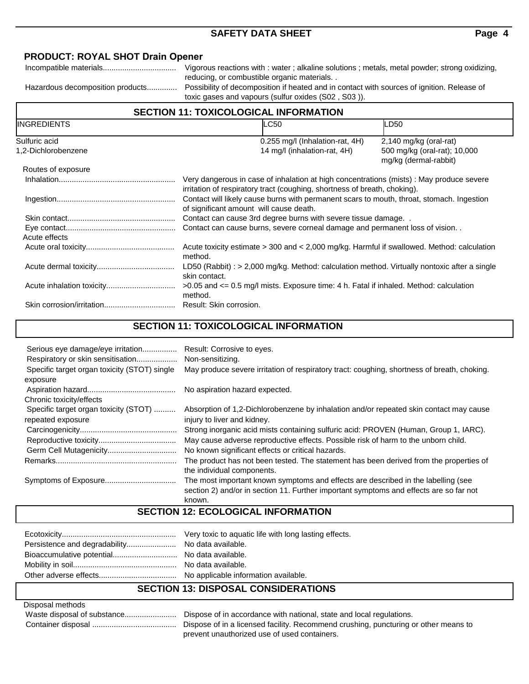### **PRODUCT: ROYAL SHOT Drain Opener**

Incompatible materials.................................. Vigorous reactions with : water ; alkaline solutions ; metals, metal powder; strong oxidizing, reducing, or combustible organic materials. .

Hazardous decomposition products.............. Possibility of decomposition if heated and in contact with sources of ignition. Release of toxic gases and vapours (sulfur oxides (S02 , S03 )).

## **SECTION 11: TOXICOLOGICAL INFORMATION**

| <b>INGREDIENTS</b>  | <b>LC50</b>                                                                                                                                                           | <b>LD50</b>                                           |  |
|---------------------|-----------------------------------------------------------------------------------------------------------------------------------------------------------------------|-------------------------------------------------------|--|
| Sulfuric acid       | $0.255$ mg/l (Inhalation-rat, 4H)                                                                                                                                     | $2,140$ mg/kg (oral-rat)                              |  |
| 1,2-Dichlorobenzene | 14 mg/l (inhalation-rat, 4H)                                                                                                                                          | 500 mg/kg (oral-rat); 10,000<br>mg/kg (dermal-rabbit) |  |
| Routes of exposure  |                                                                                                                                                                       |                                                       |  |
|                     | Very dangerous in case of inhalation at high concentrations (mists) : May produce severe<br>irritation of respiratory tract (coughing, shortness of breath, choking). |                                                       |  |
|                     | Contact will likely cause burns with permanent scars to mouth, throat, stomach. Ingestion<br>of significant amount will cause death.                                  |                                                       |  |
|                     | Contact can cause 3rd degree burns with severe tissue damage                                                                                                          |                                                       |  |
| Acute effects       | Contact can cause burns, severe corneal damage and permanent loss of vision                                                                                           |                                                       |  |
|                     | Acute toxicity estimate > 300 and < 2,000 mg/kg. Harmful if swallowed. Method: calculation<br>method.                                                                 |                                                       |  |
|                     | LD50 (Rabbit) : > 2,000 mg/kg. Method: calculation method. Virtually nontoxic after a single<br>skin contact.                                                         |                                                       |  |
|                     | $>0.05$ and $\leq 0.5$ mg/l mists. Exposure time: 4 h. Fatal if inhaled. Method: calculation<br>method.                                                               |                                                       |  |
|                     |                                                                                                                                                                       |                                                       |  |

## **SECTION 11: TOXICOLOGICAL INFORMATION**

| Serious eye damage/eye irritation<br>Respiratory or skin sensitisation | Result: Corrosive to eyes.<br>Non-sensitizing.                                                                                                                                        |
|------------------------------------------------------------------------|---------------------------------------------------------------------------------------------------------------------------------------------------------------------------------------|
| Specific target organ toxicity (STOT) single                           | May produce severe irritation of respiratory tract: coughing, shortness of breath, choking.                                                                                           |
| exposure                                                               |                                                                                                                                                                                       |
|                                                                        | No aspiration hazard expected.                                                                                                                                                        |
| Chronic toxicity/effects                                               |                                                                                                                                                                                       |
| Specific target organ toxicity (STOT)                                  | Absorption of 1,2-Dichlorobenzene by inhalation and/or repeated skin contact may cause                                                                                                |
| repeated exposure                                                      | injury to liver and kidney.                                                                                                                                                           |
|                                                                        | Strong inorganic acid mists containing sulfuric acid: PROVEN (Human, Group 1, IARC).                                                                                                  |
|                                                                        | May cause adverse reproductive effects. Possible risk of harm to the unborn child.                                                                                                    |
|                                                                        | No known significant effects or critical hazards.                                                                                                                                     |
|                                                                        | The product has not been tested. The statement has been derived from the properties of<br>the individual components.                                                                  |
|                                                                        | The most important known symptoms and effects are described in the labelling (see<br>section 2) and/or in section 11. Further important symptoms and effects are so far not<br>known. |

## **SECTION 12: ECOLOGICAL INFORMATION**

# **SECTION 13: DISPOSAL CONSIDERATIONS**

#### Disposal methods

| . |                                                                                     |
|---|-------------------------------------------------------------------------------------|
|   | Dispose of in accordance with national, state and local regulations.                |
|   | Dispose of in a licensed facility. Recommend crushing, puncturing or other means to |
|   | prevent unauthorized use of used containers.                                        |